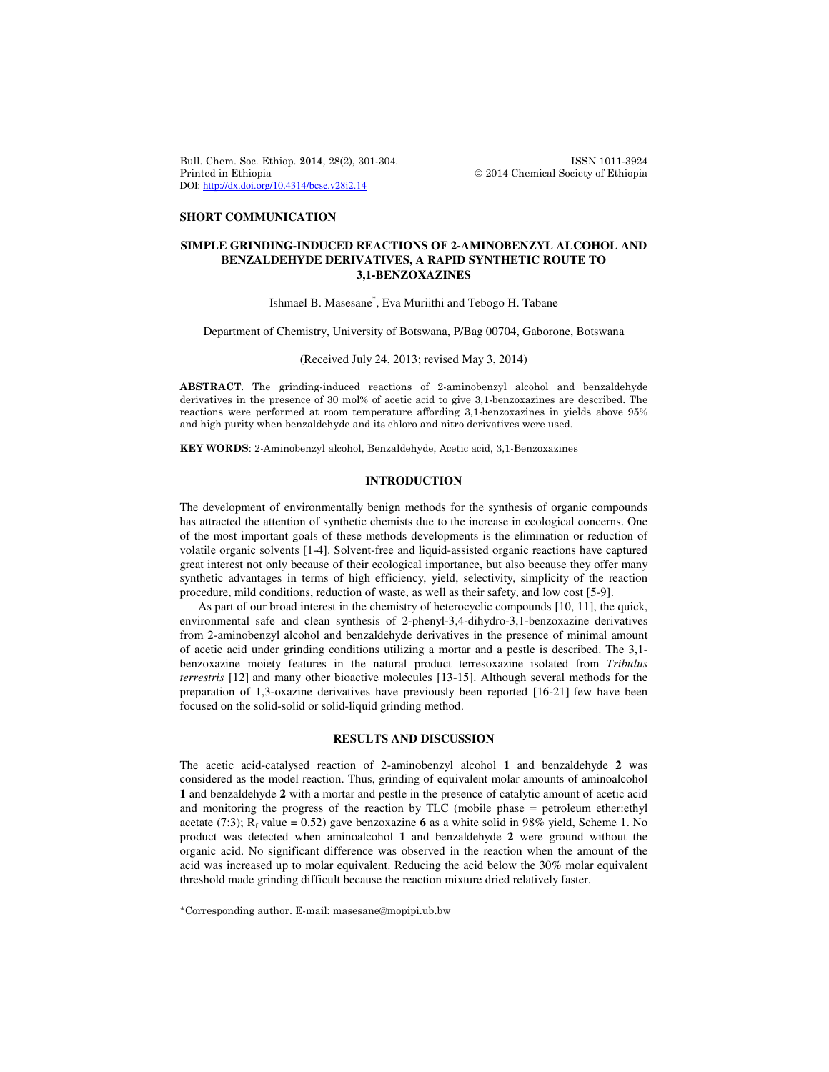Bull. Chem. Soc. Ethiop. 2014, 28(2), 301-304. ISSN 1011-3924 Printed in Ethiopia **2014** Chemical Society of Ethiopia DOI: http://dx.doi.org/10.4314/bcse.v28i2.14

### **SHORT COMMUNICATION**

# **SIMPLE GRINDING-INDUCED REACTIONS OF 2-AMINOBENZYL ALCOHOL AND BENZALDEHYDE DERIVATIVES, A RAPID SYNTHETIC ROUTE TO 3,1-BENZOXAZINES**

Ishmael B. Masesane\* , Eva Muriithi and Tebogo H. Tabane

Department of Chemistry, University of Botswana, P/Bag 00704, Gaborone, Botswana

(Received July 24, 2013; revised May 3, 2014)

ABSTRACT. The grinding-induced reactions of 2-aminobenzyl alcohol and benzaldehyde derivatives in the presence of 30 mol% of acetic acid to give 3,1-benzoxazines are described. The reactions were performed at room temperature affording 3,1-benzoxazines in yields above 95% and high purity when benzaldehyde and its chloro and nitro derivatives were used.

KEY WORDS: 2-Aminobenzyl alcohol, Benzaldehyde, Acetic acid, 3,1-Benzoxazines

### **INTRODUCTION**

The development of environmentally benign methods for the synthesis of organic compounds has attracted the attention of synthetic chemists due to the increase in ecological concerns. One of the most important goals of these methods developments is the elimination or reduction of volatile organic solvents [1-4]. Solvent-free and liquid-assisted organic reactions have captured great interest not only because of their ecological importance, but also because they offer many synthetic advantages in terms of high efficiency, yield, selectivity, simplicity of the reaction procedure, mild conditions, reduction of waste, as well as their safety, and low cost [5-9].

As part of our broad interest in the chemistry of heterocyclic compounds [10, 11], the quick, environmental safe and clean synthesis of 2-phenyl-3,4-dihydro-3,1-benzoxazine derivatives from 2-aminobenzyl alcohol and benzaldehyde derivatives in the presence of minimal amount of acetic acid under grinding conditions utilizing a mortar and a pestle is described. The 3,1 benzoxazine moiety features in the natural product terresoxazine isolated from *Tribulus terrestris* [12] and many other bioactive molecules [13-15]. Although several methods for the preparation of 1,3-oxazine derivatives have previously been reported [16-21] few have been focused on the solid-solid or solid-liquid grinding method.

## **RESULTS AND DISCUSSION**

The acetic acid-catalysed reaction of 2-aminobenzyl alcohol **1** and benzaldehyde **2** was considered as the model reaction. Thus, grinding of equivalent molar amounts of aminoalcohol **1** and benzaldehyde **2** with a mortar and pestle in the presence of catalytic amount of acetic acid and monitoring the progress of the reaction by TLC (mobile phase = petroleum ether:ethyl acetate (7:3);  $R_f$  value = 0.52) gave benzoxazine 6 as a white solid in 98% yield, Scheme 1. No product was detected when aminoalcohol **1** and benzaldehyde **2** were ground without the organic acid. No significant difference was observed in the reaction when the amount of the acid was increased up to molar equivalent. Reducing the acid below the 30% molar equivalent threshold made grinding difficult because the reaction mixture dried relatively faster.

\_\_\_\_\_\_\_\_\_\_

<sup>\*</sup>Corresponding author. E-mail: masesane@mopipi.ub.bw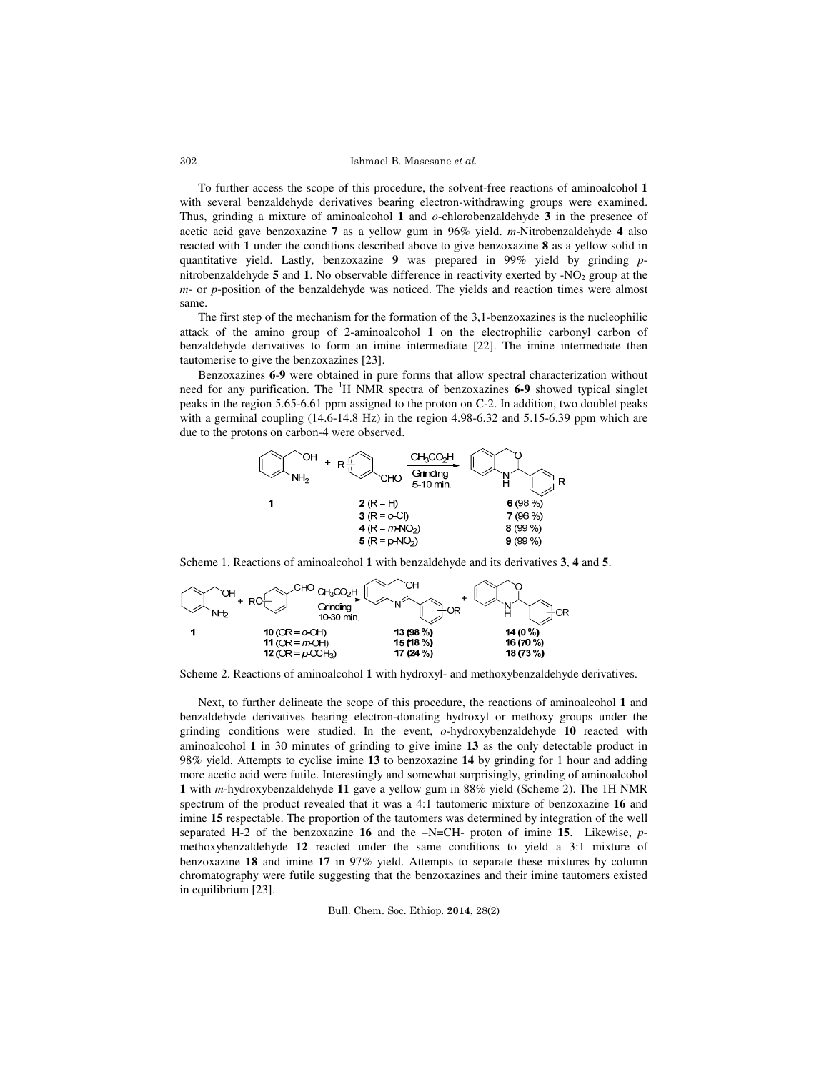Ishmael B. Masesane et al.

To further access the scope of this procedure, the solvent-free reactions of aminoalcohol **1** with several benzaldehyde derivatives bearing electron-withdrawing groups were examined. Thus, grinding a mixture of aminoalcohol **1** and *o*-chlorobenzaldehyde **3** in the presence of acetic acid gave benzoxazine **7** as a yellow gum in 96% yield. *m*-Nitrobenzaldehyde **4** also reacted with **1** under the conditions described above to give benzoxazine **8** as a yellow solid in quantitative yield. Lastly, benzoxazine **9** was prepared in 99% yield by grinding *p*nitrobenzaldehyde  $5$  and  $1$ . No observable difference in reactivity exerted by  $-NO<sub>2</sub>$  group at the *m*- or *p*-position of the benzaldehyde was noticed. The yields and reaction times were almost same.

The first step of the mechanism for the formation of the 3,1-benzoxazines is the nucleophilic attack of the amino group of 2-aminoalcohol **1** on the electrophilic carbonyl carbon of benzaldehyde derivatives to form an imine intermediate [22]. The imine intermediate then tautomerise to give the benzoxazines [23].

Benzoxazines **6**-**9** were obtained in pure forms that allow spectral characterization without need for any purification. The <sup>1</sup>H NMR spectra of benzoxazines **6-9** showed typical singlet peaks in the region 5.65-6.61 ppm assigned to the proton on C-2. In addition, two doublet peaks with a germinal coupling  $(14.6-14.8 \text{ Hz})$  in the region  $4.98-6.32$  and  $5.15-6.39$  ppm which are due to the protons on carbon-4 were observed.



Scheme 1. Reactions of aminoalcohol **1** with benzaldehyde and its derivatives **3**, **4** and **5**.



Scheme 2. Reactions of aminoalcohol **1** with hydroxyl- and methoxybenzaldehyde derivatives.

Next, to further delineate the scope of this procedure, the reactions of aminoalcohol **1** and benzaldehyde derivatives bearing electron-donating hydroxyl or methoxy groups under the grinding conditions were studied. In the event, *o*-hydroxybenzaldehyde **10** reacted with aminoalcohol **1** in 30 minutes of grinding to give imine **13** as the only detectable product in 98% yield. Attempts to cyclise imine **13** to benzoxazine **14** by grinding for 1 hour and adding more acetic acid were futile. Interestingly and somewhat surprisingly, grinding of aminoalcohol **1** with *m*-hydroxybenzaldehyde **11** gave a yellow gum in 88% yield (Scheme 2). The 1H NMR spectrum of the product revealed that it was a 4:1 tautomeric mixture of benzoxazine **16** and imine **15** respectable. The proportion of the tautomers was determined by integration of the well separated H-2 of the benzoxazine **16** and the –N=CH- proton of imine **15**. Likewise, *p*methoxybenzaldehyde **12** reacted under the same conditions to yield a 3:1 mixture of benzoxazine **18** and imine **17** in 97% yield. Attempts to separate these mixtures by column chromatography were futile suggesting that the benzoxazines and their imine tautomers existed in equilibrium [23].

Bull. Chem. Soc. Ethiop. 2014, 28(2)

302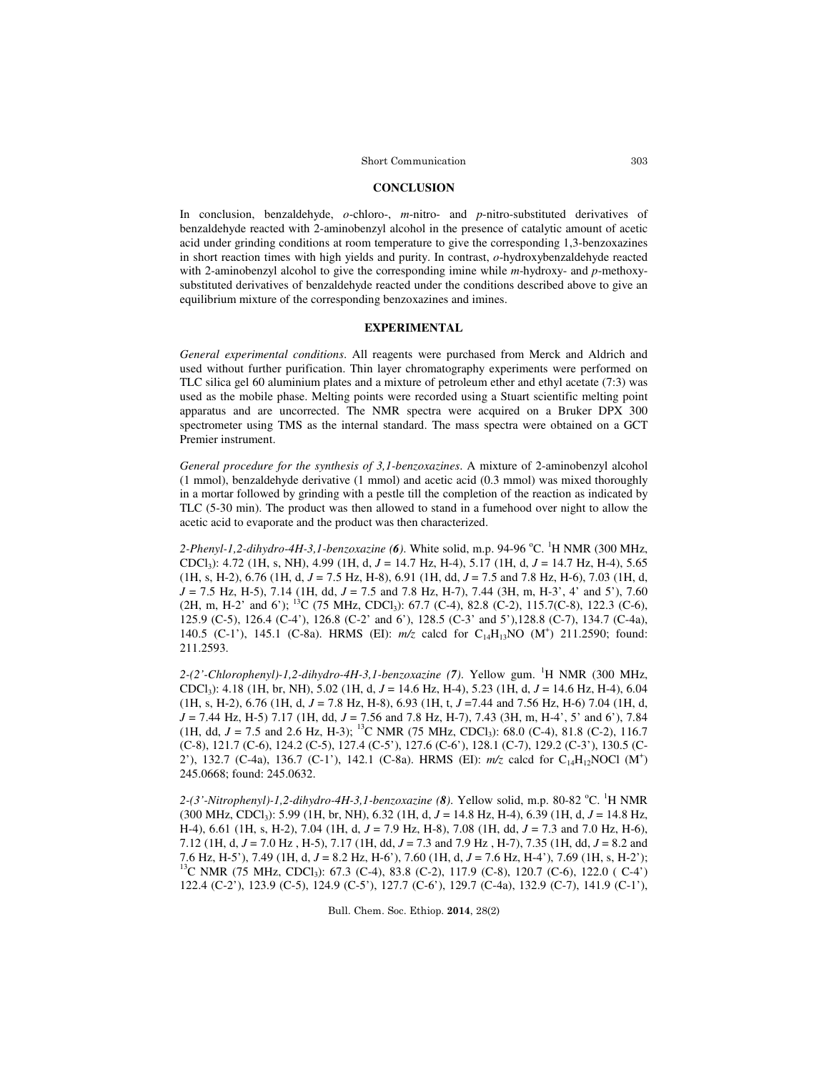## **CONCLUSION**

In conclusion, benzaldehyde, *o*-chloro-, *m*-nitro- and *p*-nitro-substituted derivatives of benzaldehyde reacted with 2-aminobenzyl alcohol in the presence of catalytic amount of acetic acid under grinding conditions at room temperature to give the corresponding 1,3-benzoxazines in short reaction times with high yields and purity. In contrast, *o*-hydroxybenzaldehyde reacted with 2-aminobenzyl alcohol to give the corresponding imine while *m*-hydroxy- and *p*-methoxysubstituted derivatives of benzaldehyde reacted under the conditions described above to give an equilibrium mixture of the corresponding benzoxazines and imines.

# **EXPERIMENTAL**

*General experimental conditions*. All reagents were purchased from Merck and Aldrich and used without further purification. Thin layer chromatography experiments were performed on TLC silica gel 60 aluminium plates and a mixture of petroleum ether and ethyl acetate (7:3) was used as the mobile phase. Melting points were recorded using a Stuart scientific melting point apparatus and are uncorrected. The NMR spectra were acquired on a Bruker DPX 300 spectrometer using TMS as the internal standard. The mass spectra were obtained on a GCT Premier instrument.

*General procedure for the synthesis of 3,1-benzoxazines*. A mixture of 2-aminobenzyl alcohol (1 mmol), benzaldehyde derivative (1 mmol) and acetic acid (0.3 mmol) was mixed thoroughly in a mortar followed by grinding with a pestle till the completion of the reaction as indicated by TLC (5-30 min). The product was then allowed to stand in a fumehood over night to allow the acetic acid to evaporate and the product was then characterized.

2-Phenyl-1,2-dihydro-4H-3,1-benzoxazine (6). White solid, m.p. 94-96 °C. <sup>1</sup>H NMR (300 MHz, CDCl3): 4.72 (1H, s, NH), 4.99 (1H, d, *J* = 14.7 Hz, H-4), 5.17 (1H, d, *J* = 14.7 Hz, H-4), 5.65 (1H, s, H-2), 6.76 (1H, d, *J* = 7.5 Hz, H-8), 6.91 (1H, dd, *J* = 7.5 and 7.8 Hz, H-6), 7.03 (1H, d, *J* = 7.5 Hz, H-5), 7.14 (1H, dd, *J* = 7.5 and 7.8 Hz, H-7), 7.44 (3H, m, H-3', 4' and 5'), 7.60 (2H, m, H-2' and 6'); <sup>13</sup>C (75 MHz, CDCl<sub>3</sub>): 67.7 (C-4), 82.8 (C-2), 115.7(C-8), 122.3 (C-6), 125.9 (C-5), 126.4 (C-4'), 126.8 (C-2' and 6'), 128.5 (C-3' and 5'),128.8 (C-7), 134.7 (C-4a), 140.5 (C-1'), 145.1 (C-8a). HRMS (EI):  $m/z$  calcd for C<sub>14</sub>H<sub>13</sub>NO (M<sup>+</sup>) 211.2590; found: 211.2593.

*2-(2'-Chlorophenyl)-1,2-dihydro-4H-3,1-benzoxazine (7)*. Yellow gum. <sup>1</sup>H NMR (300 MHz, CDCl3): 4.18 (1H, br, NH), 5.02 (1H, d, *J* = 14.6 Hz, H-4), 5.23 (1H, d, *J* = 14.6 Hz, H-4), 6.04 (1H, s, H-2), 6.76 (1H, d, *J* = 7.8 Hz, H-8), 6.93 (1H, t, *J* =7.44 and 7.56 Hz, H-6) 7.04 (1H, d, *J* = 7.44 Hz, H-5) 7.17 (1H, dd, *J* = 7.56 and 7.8 Hz, H-7), 7.43 (3H, m, H-4', 5' and 6'), 7.84 (1H, dd,  $J = 7.5$  and 2.6 Hz, H-3); <sup>13</sup>C NMR (75 MHz, CDCl<sub>3</sub>): 68.0 (C-4), 81.8 (C-2), 116.7 (C-8), 121.7 (C-6), 124.2 (C-5), 127.4 (C-5'), 127.6 (C-6'), 128.1 (C-7), 129.2 (C-3'), 130.5 (C-2'), 132.7 (C-4a), 136.7 (C-1'), 142.1 (C-8a). HRMS (EI):  $m/z$  calcd for C<sub>14</sub>H<sub>12</sub>NOCl (M<sup>+</sup>) 245.0668; found: 245.0632.

2-(3'-Nitrophenyl)-1,2-dihydro-4H-3,1-benzoxazine (8). Yellow solid, m.p. 80-82 °C. <sup>1</sup>H NMR (300 MHz, CDCl<sup>3</sup> ): 5.99 (1H, br, NH), 6.32 (1H, d, *J* = 14.8 Hz, H-4), 6.39 (1H, d, *J* = 14.8 Hz, H-4), 6.61 (1H, s, H-2), 7.04 (1H, d, *J* = 7.9 Hz, H-8), 7.08 (1H, dd, *J* = 7.3 and 7.0 Hz, H-6), 7.12 (1H, d, *J* = 7.0 Hz , H-5), 7.17 (1H, dd, *J* = 7.3 and 7.9 Hz , H-7), 7.35 (1H, dd, *J* = 8.2 and 7.6 Hz, H-5'), 7.49 (1H, d, *J* = 8.2 Hz, H-6'), 7.60 (1H, d, *J* = 7.6 Hz, H-4'), 7.69 (1H, s, H-2'); <sup>13</sup>C NMR (75 MHz, CDCl<sub>3</sub>): 67.3 (C-4), 83.8 (C-2), 117.9 (C-8), 120.7 (C-6), 122.0 (C-4') 122.4 (C-2'), 123.9 (C-5), 124.9 (C-5'), 127.7 (C-6'), 129.7 (C-4a), 132.9 (C-7), 141.9 (C-1'),

Bull. Chem. Soc. Ethiop. 2014, 28(2)